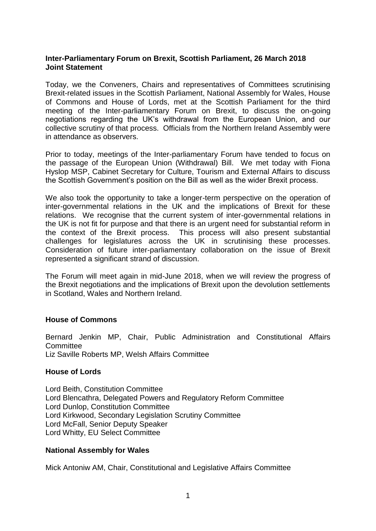# **Inter-Parliamentary Forum on Brexit, Scottish Parliament, 26 March 2018 Joint Statement**

Today, we the Conveners, Chairs and representatives of Committees scrutinising Brexit-related issues in the Scottish Parliament, National Assembly for Wales, House of Commons and House of Lords, met at the Scottish Parliament for the third meeting of the Inter-parliamentary Forum on Brexit, to discuss the on-going negotiations regarding the UK's withdrawal from the European Union, and our collective scrutiny of that process. Officials from the Northern Ireland Assembly were in attendance as observers.

Prior to today, meetings of the Inter-parliamentary Forum have tended to focus on the passage of the European Union (Withdrawal) Bill. We met today with Fiona Hyslop MSP, Cabinet Secretary for Culture, Tourism and External Affairs to discuss the Scottish Government's position on the Bill as well as the wider Brexit process.

We also took the opportunity to take a longer-term perspective on the operation of inter-governmental relations in the UK and the implications of Brexit for these relations. We recognise that the current system of inter-governmental relations in the UK is not fit for purpose and that there is an urgent need for substantial reform in the context of the Brexit process. This process will also present substantial challenges for legislatures across the UK in scrutinising these processes. Consideration of future inter-parliamentary collaboration on the issue of Brexit represented a significant strand of discussion.

The Forum will meet again in mid-June 2018, when we will review the progress of the Brexit negotiations and the implications of Brexit upon the devolution settlements in Scotland, Wales and Northern Ireland.

## **House of Commons**

Bernard Jenkin MP, Chair, Public Administration and Constitutional Affairs **Committee** Liz Saville Roberts MP, Welsh Affairs Committee

#### **House of Lords**

Lord Beith, Constitution Committee Lord Blencathra, Delegated Powers and Regulatory Reform Committee Lord Dunlop, Constitution Committee Lord Kirkwood, Secondary Legislation Scrutiny Committee Lord McFall, Senior Deputy Speaker Lord Whitty, EU Select Committee

## **National Assembly for Wales**

Mick Antoniw AM, Chair, Constitutional and Legislative Affairs Committee